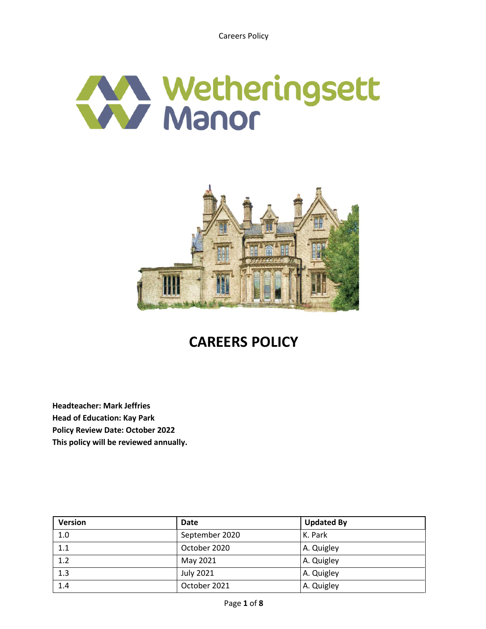



# **CAREERS POLICY**

**Headteacher: Mark Jeffries Head of Education: Kay Park Policy Review Date: October 2022 This policy will be reviewed annually.**

| <b>Version</b> | <b>Date</b>      | <b>Updated By</b> |
|----------------|------------------|-------------------|
| 1.0            | September 2020   | K. Park           |
| 1.1            | October 2020     | A. Quigley        |
| 1.2            | May 2021         | A. Quigley        |
| 1.3            | <b>July 2021</b> | A. Quigley        |
| 1.4            | October 2021     | A. Quigley        |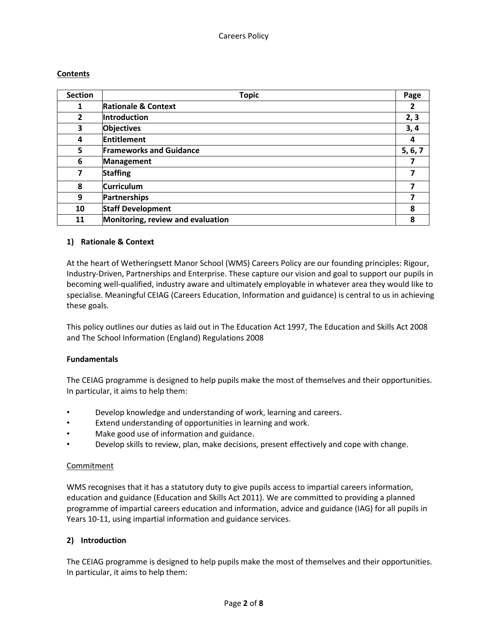## **Contents**

| <b>Section</b> | <b>Topic</b>                      | Page           |
|----------------|-----------------------------------|----------------|
| 1              | <b>Rationale &amp; Context</b>    | $\overline{2}$ |
| 2              | Introduction                      | 2, 3           |
| 3              | <b>Objectives</b>                 | 3,4            |
| 4              | <b>Entitlement</b>                | 4              |
| 5              | <b>Frameworks and Guidance</b>    | 5, 6, 7        |
| 6              | <b>Management</b>                 | 7              |
| 7              | <b>Staffing</b>                   |                |
| 8              | <b>Curriculum</b>                 | 7              |
| 9              | <b>Partnerships</b>               | 7              |
| 10             | <b>Staff Development</b>          | 8              |
| 11             | Monitoring, review and evaluation | 8              |

## **1) Rationale & Context**

At the heart of Wetheringsett Manor School (WMS) Careers Policy are our founding principles: Rigour, Industry-Driven, Partnerships and Enterprise. These capture our vision and goal to support our pupils in becoming well-qualified, industry aware and ultimately employable in whatever area they would like to specialise. Meaningful CEIAG (Careers Education, Information and guidance) is central to us in achieving these goals.

This policy outlines our duties as laid out in The Education Act 1997, The Education and Skills Act 2008 and The School Information (England) Regulations 2008

## **Fundamentals**

The CEIAG programme is designed to help pupils make the most of themselves and their opportunities. In particular, it aims to help them:

- Develop knowledge and understanding of work, learning and careers.
- Extend understanding of opportunities in learning and work.
- Make good use of information and guidance.
- Develop skills to review, plan, make decisions, present effectively and cope with change.

## **Commitment**

WMS recognises that it has a statutory duty to give pupils access to impartial careers information, education and guidance (Education and Skills Act 2011). We are committed to providing a planned programme of impartial careers education and information, advice and guidance (IAG) for all pupils in Years 10-11, using impartial information and guidance services.

## **2) Introduction**

The CEIAG programme is designed to help pupils make the most of themselves and their opportunities. In particular, it aims to help them: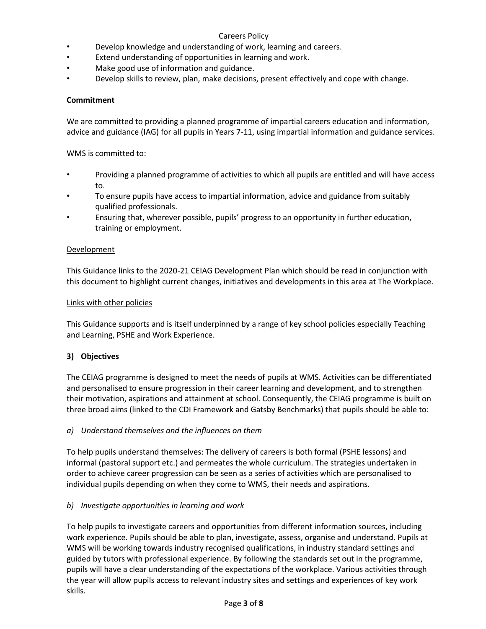## Careers Policy

- Develop knowledge and understanding of work, learning and careers.
- Extend understanding of opportunities in learning and work.
- Make good use of information and guidance.
- Develop skills to review, plan, make decisions, present effectively and cope with change.

## **Commitment**

We are committed to providing a planned programme of impartial careers education and information, advice and guidance (IAG) for all pupils in Years 7-11, using impartial information and guidance services.

WMS is committed to:

- Providing a planned programme of activities to which all pupils are entitled and will have access to.
- To ensure pupils have access to impartial information, advice and guidance from suitably qualified professionals.
- Ensuring that, wherever possible, pupils' progress to an opportunity in further education, training or employment.

#### Development

This Guidance links to the 2020-21 CEIAG Development Plan which should be read in conjunction with this document to highlight current changes, initiatives and developments in this area at The Workplace.

#### Links with other policies

This Guidance supports and is itself underpinned by a range of key school policies especially Teaching and Learning, PSHE and Work Experience.

## **3) Objectives**

The CEIAG programme is designed to meet the needs of pupils at WMS. Activities can be differentiated and personalised to ensure progression in their career learning and development, and to strengthen their motivation, aspirations and attainment at school. Consequently, the CEIAG programme is built on three broad aims (linked to the CDI Framework and Gatsby Benchmarks) that pupils should be able to:

## *a) Understand themselves and the influences on them*

To help pupils understand themselves: The delivery of careers is both formal (PSHE lessons) and informal (pastoral support etc.) and permeates the whole curriculum. The strategies undertaken in order to achieve career progression can be seen as a series of activities which are personalised to individual pupils depending on when they come to WMS, their needs and aspirations.

## *b) Investigate opportunities in learning and work*

To help pupils to investigate careers and opportunities from different information sources, including work experience. Pupils should be able to plan, investigate, assess, organise and understand. Pupils at WMS will be working towards industry recognised qualifications, in industry standard settings and guided by tutors with professional experience. By following the standards set out in the programme, pupils will have a clear understanding of the expectations of the workplace. Various activities through the year will allow pupils access to relevant industry sites and settings and experiences of key work skills.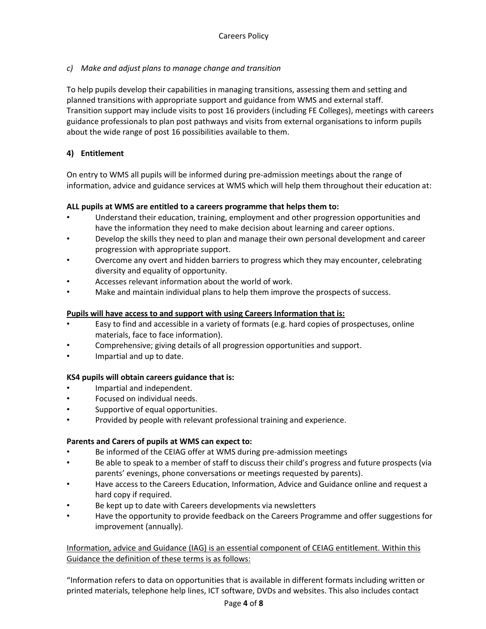# *c) Make and adjust plans to manage change and transition*

To help pupils develop their capabilities in managing transitions, assessing them and setting and planned transitions with appropriate support and guidance from WMS and external staff. Transition support may include visits to post 16 providers (including FE Colleges), meetings with careers guidance professionals to plan post pathways and visits from external organisations to inform pupils about the wide range of post 16 possibilities available to them.

# **4) Entitlement**

On entry to WMS all pupils will be informed during pre-admission meetings about the range of information, advice and guidance services at WMS which will help them throughout their education at:

## **ALL pupils at WMS are entitled to a careers programme that helps them to:**

- Understand their education, training, employment and other progression opportunities and have the information they need to make decision about learning and career options.
- Develop the skills they need to plan and manage their own personal development and career progression with appropriate support.
- Overcome any overt and hidden barriers to progress which they may encounter, celebrating diversity and equality of opportunity.
- Accesses relevant information about the world of work.
- Make and maintain individual plans to help them improve the prospects of success.

## **Pupils will have access to and support with using Careers Information that is:**

- Easy to find and accessible in a variety of formats (e.g. hard copies of prospectuses, online materials, face to face information).
- Comprehensive; giving details of all progression opportunities and support.
- Impartial and up to date.

## **KS4 pupils will obtain careers guidance that is:**

- Impartial and independent.
- Focused on individual needs.
- Supportive of equal opportunities.
- Provided by people with relevant professional training and experience.

## **Parents and Carers of pupils at WMS can expect to:**

- Be informed of the CEIAG offer at WMS during pre-admission meetings
- Be able to speak to a member of staff to discuss their child's progress and future prospects (via parents' evenings, phone conversations or meetings requested by parents).
- Have access to the Careers Education, Information, Advice and Guidance online and request a hard copy if required.
- Be kept up to date with Careers developments via newsletters
- Have the opportunity to provide feedback on the Careers Programme and offer suggestions for improvement (annually).

# Information, advice and Guidance (IAG) is an essential component of CEIAG entitlement. Within this Guidance the definition of these terms is as follows:

"Information refers to data on opportunities that is available in different formats including written or printed materials, telephone help lines, ICT software, DVDs and websites. This also includes contact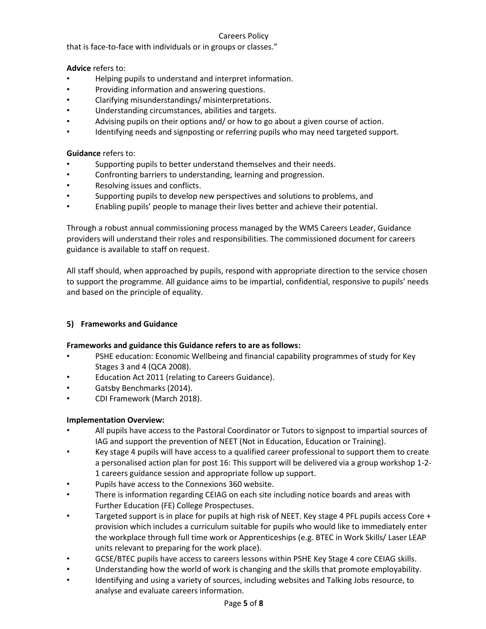## Careers Policy

that is face-to-face with individuals or in groups or classes."

**Advice** refers to:

- Helping pupils to understand and interpret information.
- Providing information and answering questions.
- Clarifying misunderstandings/ misinterpretations.
- Understanding circumstances, abilities and targets.
- Advising pupils on their options and/ or how to go about a given course of action.
- Identifying needs and signposting or referring pupils who may need targeted support.

**Guidance** refers to:

- Supporting pupils to better understand themselves and their needs.
- Confronting barriers to understanding, learning and progression.
- Resolving issues and conflicts.
- Supporting pupils to develop new perspectives and solutions to problems, and
- Enabling pupils' people to manage their lives better and achieve their potential.

Through a robust annual commissioning process managed by the WMS Careers Leader, Guidance providers will understand their roles and responsibilities. The commissioned document for careers guidance is available to staff on request.

All staff should, when approached by pupils, respond with appropriate direction to the service chosen to support the programme. All guidance aims to be impartial, confidential, responsive to pupils' needs and based on the principle of equality.

## **5) Frameworks and Guidance**

## **Frameworks and guidance this Guidance refers to are as follows:**

- PSHE education: Economic Wellbeing and financial capability programmes of study for Key Stages 3 and 4 (QCA 2008).
- Education Act 2011 (relating to Careers Guidance).
- Gatsby Benchmarks (2014).
- CDI Framework (March 2018).

## **Implementation Overview:**

- All pupils have access to the Pastoral Coordinator or Tutors to signpost to impartial sources of IAG and support the prevention of NEET (Not in Education, Education or Training).
- Key stage 4 pupils will have access to a qualified career professional to support them to create a personalised action plan for post 16: This support will be delivered via a group workshop 1-2- 1 careers guidance session and appropriate follow up support.
- Pupils have access to the Connexions 360 website.
- There is information regarding CEIAG on each site including notice boards and areas with Further Education (FE) College Prospectuses.
- Targeted support is in place for pupils at high risk of NEET. Key stage 4 PFL pupils access Core + provision which includes a curriculum suitable for pupils who would like to immediately enter the workplace through full time work or Apprenticeships (e.g. BTEC in Work Skills/ Laser LEAP units relevant to preparing for the work place).
- GCSE/BTEC pupils have access to careers lessons within PSHE Key Stage 4 core CEIAG skills.
- Understanding how the world of work is changing and the skills that promote employability.
- Identifying and using a variety of sources, including websites and Talking Jobs resource, to analyse and evaluate careers information.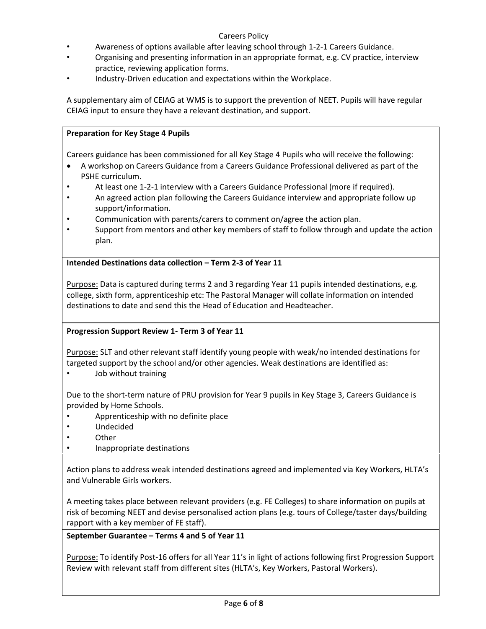## Careers Policy

- Awareness of options available after leaving school through 1-2-1 Careers Guidance.
- Organising and presenting information in an appropriate format, e.g. CV practice, interview practice, reviewing application forms.
- Industry-Driven education and expectations within the Workplace.

A supplementary aim of CEIAG at WMS is to support the prevention of NEET. Pupils will have regular CEIAG input to ensure they have a relevant destination, and support.

## **Preparation for Key Stage 4 Pupils**

Careers guidance has been commissioned for all Key Stage 4 Pupils who will receive the following:

- A workshop on Careers Guidance from a Careers Guidance Professional delivered as part of the PSHE curriculum.
- At least one 1-2-1 interview with a Careers Guidance Professional (more if required).
- An agreed action plan following the Careers Guidance interview and appropriate follow up support/information.
- Communication with parents/carers to comment on/agree the action plan.
- Support from mentors and other key members of staff to follow through and update the action plan.

**Intended Destinations data collection – Term 2-3 of Year 11**

Purpose: Data is captured during terms 2 and 3 regarding Year 11 pupils intended destinations, e.g. college, sixth form, apprenticeship etc: The Pastoral Manager will collate information on intended destinations to date and send this the Head of Education and Headteacher.

## **Progression Support Review 1- Term 3 of Year 11**

Purpose: SLT and other relevant staff identify young people with weak/no intended destinations for targeted support by the school and/or other agencies. Weak destinations are identified as:

Job without training

Due to the short-term nature of PRU provision for Year 9 pupils in Key Stage 3, Careers Guidance is provided by Home Schools.

- Apprenticeship with no definite place
- Undecided
- Other
- Inappropriate destinations

Action plans to address weak intended destinations agreed and implemented via Key Workers, HLTA's and Vulnerable Girls workers.

A meeting takes place between relevant providers (e.g. FE Colleges) to share information on pupils at risk of becoming NEET and devise personalised action plans (e.g. tours of College/taster days/building rapport with a key member of FE staff).

## **September Guarantee – Terms 4 and 5 of Year 11**

Purpose: To identify Post-16 offers for all Year 11's in light of actions following first Progression Support Review with relevant staff from different sites (HLTA's, Key Workers, Pastoral Workers).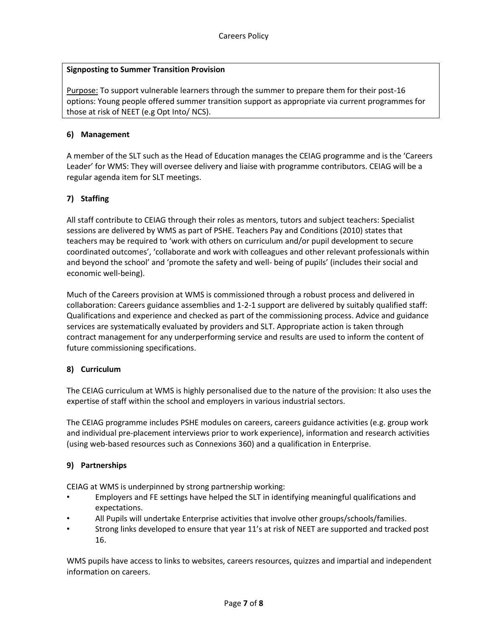## **Signposting to Summer Transition Provision**

Purpose: To support vulnerable learners through the summer to prepare them for their post-16 options: Young people offered summer transition support as appropriate via current programmes for those at risk of NEET (e.g Opt Into/ NCS).

#### **6) Management**

A member of the SLT such as the Head of Education manages the CEIAG programme and is the 'Careers Leader' for WMS: They will oversee delivery and liaise with programme contributors. CEIAG will be a regular agenda item for SLT meetings.

## **7) Staffing**

All staff contribute to CEIAG through their roles as mentors, tutors and subject teachers: Specialist sessions are delivered by WMS as part of PSHE. Teachers Pay and Conditions (2010) states that teachers may be required to 'work with others on curriculum and/or pupil development to secure coordinated outcomes', 'collaborate and work with colleagues and other relevant professionals within and beyond the school' and 'promote the safety and well- being of pupils' (includes their social and economic well-being).

Much of the Careers provision at WMS is commissioned through a robust process and delivered in collaboration: Careers guidance assemblies and 1-2-1 support are delivered by suitably qualified staff: Qualifications and experience and checked as part of the commissioning process. Advice and guidance services are systematically evaluated by providers and SLT. Appropriate action is taken through contract management for any underperforming service and results are used to inform the content of future commissioning specifications.

## **8) Curriculum**

The CEIAG curriculum at WMS is highly personalised due to the nature of the provision: It also uses the expertise of staff within the school and employers in various industrial sectors.

The CEIAG programme includes PSHE modules on careers, careers guidance activities (e.g. group work and individual pre-placement interviews prior to work experience), information and research activities (using web-based resources such as Connexions 360) and a qualification in Enterprise.

## **9) Partnerships**

CEIAG at WMS is underpinned by strong partnership working:

- Employers and FE settings have helped the SLT in identifying meaningful qualifications and expectations.
- All Pupils will undertake Enterprise activities that involve other groups/schools/families.
- Strong links developed to ensure that year 11's at risk of NEET are supported and tracked post 16.

WMS pupils have access to links to websites, careers resources, quizzes and impartial and independent information on careers.